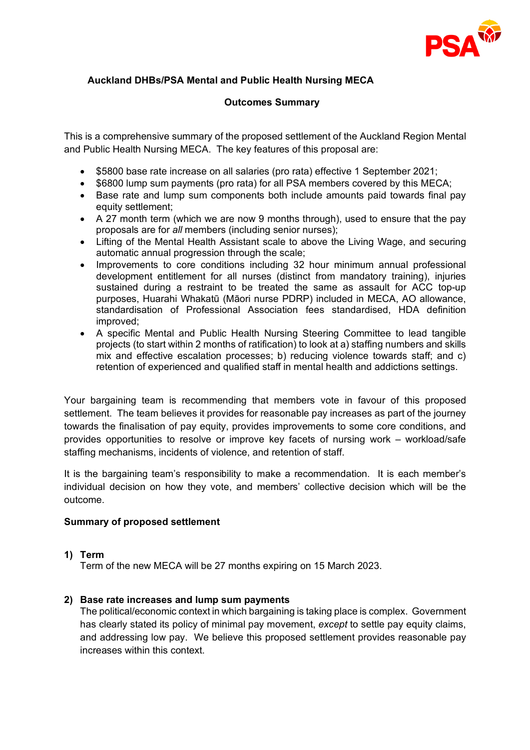

# **Auckland DHBs/PSA Mental and Public Health Nursing MECA**

# **Outcomes Summary**

This is a comprehensive summary of the proposed settlement of the Auckland Region Mental and Public Health Nursing MECA. The key features of this proposal are:

- \$5800 base rate increase on all salaries (pro rata) effective 1 September 2021;
- \$6800 lump sum payments (pro rata) for all PSA members covered by this MECA;
- Base rate and lump sum components both include amounts paid towards final pay equity settlement;
- A 27 month term (which we are now 9 months through), used to ensure that the pay proposals are for *all* members (including senior nurses);
- Lifting of the Mental Health Assistant scale to above the Living Wage, and securing automatic annual progression through the scale;
- Improvements to core conditions including 32 hour minimum annual professional development entitlement for all nurses (distinct from mandatory training), injuries sustained during a restraint to be treated the same as assault for ACC top-up purposes, Huarahi Whakatū (Māori nurse PDRP) included in MECA, AO allowance, standardisation of Professional Association fees standardised, HDA definition improved;
- A specific Mental and Public Health Nursing Steering Committee to lead tangible projects (to start within 2 months of ratification) to look at a) staffing numbers and skills mix and effective escalation processes; b) reducing violence towards staff; and c) retention of experienced and qualified staff in mental health and addictions settings.

Your bargaining team is recommending that members vote in favour of this proposed settlement. The team believes it provides for reasonable pay increases as part of the journey towards the finalisation of pay equity, provides improvements to some core conditions, and provides opportunities to resolve or improve key facets of nursing work – workload/safe staffing mechanisms, incidents of violence, and retention of staff.

It is the bargaining team's responsibility to make a recommendation. It is each member's individual decision on how they vote, and members' collective decision which will be the outcome.

# **Summary of proposed settlement**

# **1) Term**

Term of the new MECA will be 27 months expiring on 15 March 2023.

# **2) Base rate increases and lump sum payments**

The political/economic context in which bargaining is taking place is complex. Government has clearly stated its policy of minimal pay movement, *except* to settle pay equity claims, and addressing low pay. We believe this proposed settlement provides reasonable pay increases within this context.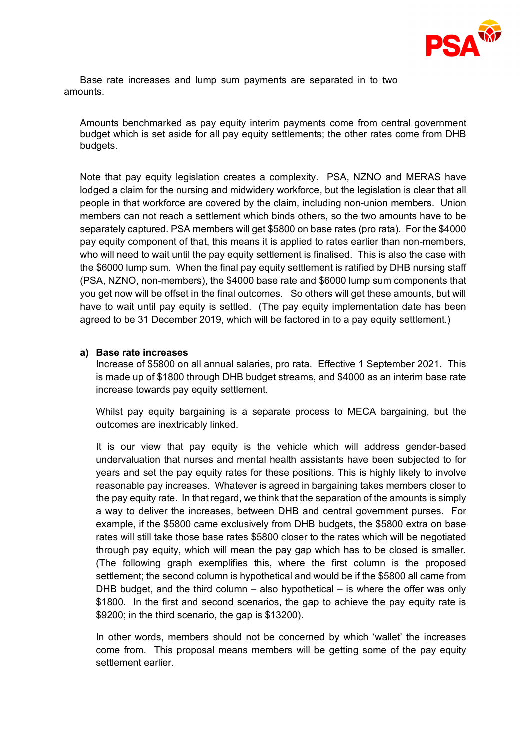

Base rate increases and lump sum payments are separated in to two amounts.

Amounts benchmarked as pay equity interim payments come from central government budget which is set aside for all pay equity settlements; the other rates come from DHB budgets.

Note that pay equity legislation creates a complexity. PSA, NZNO and MERAS have lodged a claim for the nursing and midwidery workforce, but the legislation is clear that all people in that workforce are covered by the claim, including non-union members. Union members can not reach a settlement which binds others, so the two amounts have to be separately captured. PSA members will get \$5800 on base rates (pro rata). For the \$4000 pay equity component of that, this means it is applied to rates earlier than non-members, who will need to wait until the pay equity settlement is finalised. This is also the case with the \$6000 lump sum. When the final pay equity settlement is ratified by DHB nursing staff (PSA, NZNO, non-members), the \$4000 base rate and \$6000 lump sum components that you get now will be offset in the final outcomes. So others will get these amounts, but will have to wait until pay equity is settled. (The pay equity implementation date has been agreed to be 31 December 2019, which will be factored in to a pay equity settlement.)

### **a) Base rate increases**

Increase of \$5800 on all annual salaries, pro rata. Effective 1 September 2021. This is made up of \$1800 through DHB budget streams, and \$4000 as an interim base rate increase towards pay equity settlement.

Whilst pay equity bargaining is a separate process to MECA bargaining, but the outcomes are inextricably linked.

It is our view that pay equity is the vehicle which will address gender-based undervaluation that nurses and mental health assistants have been subjected to for years and set the pay equity rates for these positions. This is highly likely to involve reasonable pay increases. Whatever is agreed in bargaining takes members closer to the pay equity rate. In that regard, we think that the separation of the amounts is simply a way to deliver the increases, between DHB and central government purses. For example, if the \$5800 came exclusively from DHB budgets, the \$5800 extra on base rates will still take those base rates \$5800 closer to the rates which will be negotiated through pay equity, which will mean the pay gap which has to be closed is smaller. (The following graph exemplifies this, where the first column is the proposed settlement; the second column is hypothetical and would be if the \$5800 all came from DHB budget, and the third column – also hypothetical – is where the offer was only \$1800. In the first and second scenarios, the gap to achieve the pay equity rate is \$9200; in the third scenario, the gap is \$13200).

In other words, members should not be concerned by which 'wallet' the increases come from. This proposal means members will be getting some of the pay equity settlement earlier.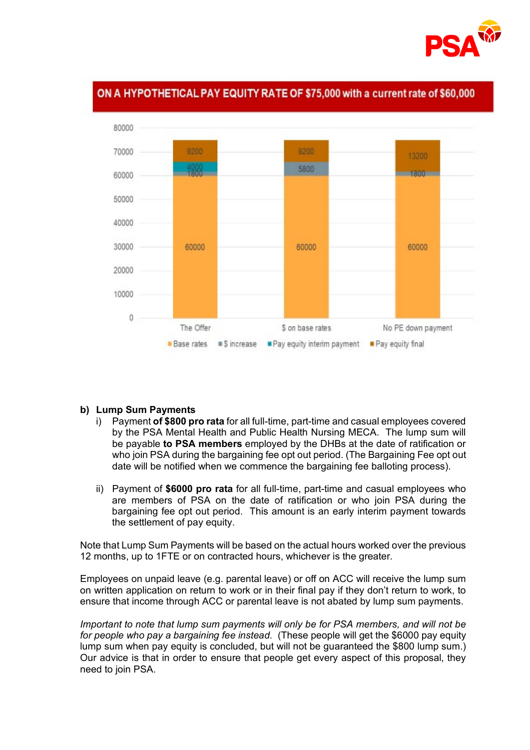

# ON A HYPOTHETICAL PAY EQUITY RATE OF \$75,000 with a current rate of \$60,000



#### **b) Lump Sum Payments**

- i) Payment **of \$800 pro rata** for all full-time, part-time and casual employees covered by the PSA Mental Health and Public Health Nursing MECA. The lump sum will be payable **to PSA members** employed by the DHBs at the date of ratification or who join PSA during the bargaining fee opt out period. (The Bargaining Fee opt out date will be notified when we commence the bargaining fee balloting process).
- ii) Payment of **\$6000 pro rata** for all full-time, part-time and casual employees who are members of PSA on the date of ratification or who join PSA during the bargaining fee opt out period. This amount is an early interim payment towards the settlement of pay equity.

Note that Lump Sum Payments will be based on the actual hours worked over the previous 12 months, up to 1FTE or on contracted hours, whichever is the greater.

Employees on unpaid leave (e.g. parental leave) or off on ACC will receive the lump sum on written application on return to work or in their final pay if they don't return to work, to ensure that income through ACC or parental leave is not abated by lump sum payments.

*Important to note that lump sum payments will only be for PSA members, and will not be for people who pay a bargaining fee instead.* (These people will get the \$6000 pay equity lump sum when pay equity is concluded, but will not be guaranteed the \$800 lump sum.) Our advice is that in order to ensure that people get every aspect of this proposal, they need to join PSA.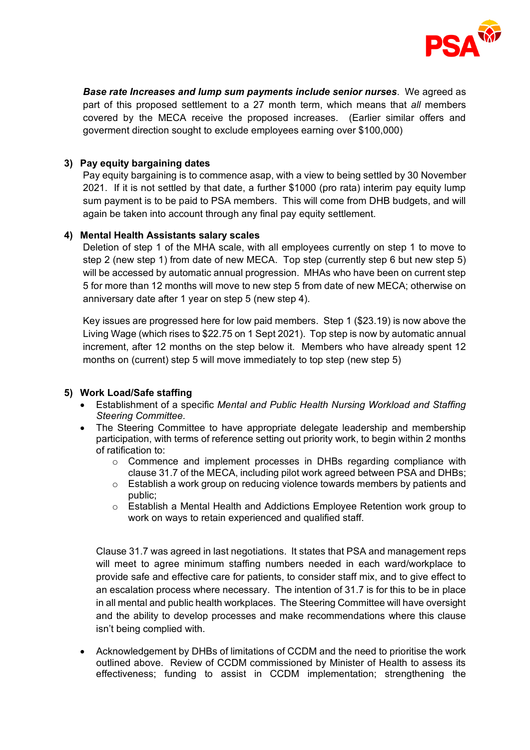

*Base rate Increases and lump sum payments include senior nurses*. We agreed as part of this proposed settlement to a 27 month term, which means that *all* members covered by the MECA receive the proposed increases. (Earlier similar offers and goverment direction sought to exclude employees earning over \$100,000)

# **3) Pay equity bargaining dates**

Pay equity bargaining is to commence asap, with a view to being settled by 30 November 2021. If it is not settled by that date, a further \$1000 (pro rata) interim pay equity lump sum payment is to be paid to PSA members. This will come from DHB budgets, and will again be taken into account through any final pay equity settlement.

# **4) Mental Health Assistants salary scales**

Deletion of step 1 of the MHA scale, with all employees currently on step 1 to move to step 2 (new step 1) from date of new MECA. Top step (currently step 6 but new step 5) will be accessed by automatic annual progression.MHAs who have been on current step 5 for more than 12 months will move to new step 5 from date of new MECA; otherwise on anniversary date after 1 year on step 5 (new step 4).

Key issues are progressed here for low paid members. Step 1 (\$23.19) is now above the Living Wage (which rises to \$22.75 on 1 Sept 2021). Top step is now by automatic annual increment, after 12 months on the step below it. Members who have already spent 12 months on (current) step 5 will move immediately to top step (new step 5)

# **5) Work Load/Safe staffing**

- Establishment of a specific *Mental and Public Health Nursing Workload and Staffing Steering Committee.*
- The Steering Committee to have appropriate delegate leadership and membership participation, with terms of reference setting out priority work, to begin within 2 months of ratification to:
	- o Commence and implement processes in DHBs regarding compliance with clause 31.7 of the MECA, including pilot work agreed between PSA and DHBs;
	- $\circ$  Establish a work group on reducing violence towards members by patients and public;
	- $\circ$  Establish a Mental Health and Addictions Employee Retention work group to work on ways to retain experienced and qualified staff.

Clause 31.7 was agreed in last negotiations. It states that PSA and management reps will meet to agree minimum staffing numbers needed in each ward/workplace to provide safe and effective care for patients, to consider staff mix, and to give effect to an escalation process where necessary. The intention of 31.7 is for this to be in place in all mental and public health workplaces. The Steering Committee will have oversight and the ability to develop processes and make recommendations where this clause isn't being complied with.

• Acknowledgement by DHBs of limitations of CCDM and the need to prioritise the work outlined above. Review of CCDM commissioned by Minister of Health to assess its effectiveness; funding to assist in CCDM implementation; strengthening the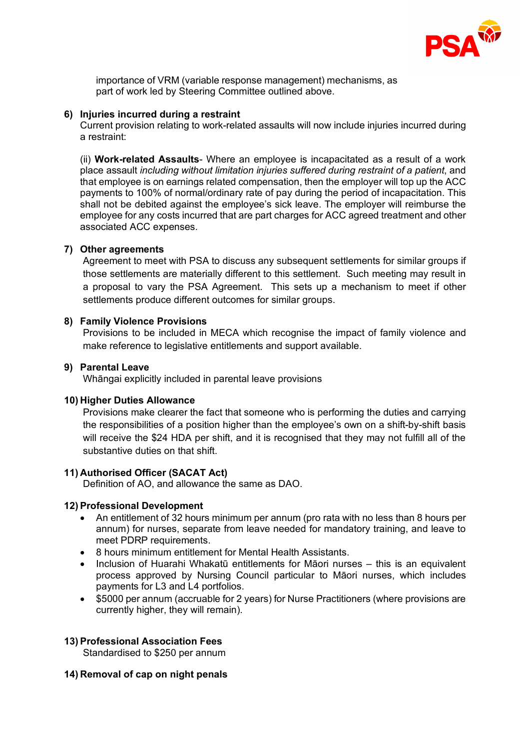

importance of VRM (variable response management) mechanisms, as part of work led by Steering Committee outlined above.

#### **6) Injuries incurred during a restraint**

Current provision relating to work-related assaults will now include injuries incurred during a restraint:

(ii) **Work-related Assaults**- Where an employee is incapacitated as a result of a work place assault *including without limitation injuries suffered during restraint of a patient*, and that employee is on earnings related compensation, then the employer will top up the ACC payments to 100% of normal/ordinary rate of pay during the period of incapacitation. This shall not be debited against the employee's sick leave. The employer will reimburse the employee for any costs incurred that are part charges for ACC agreed treatment and other associated ACC expenses.

### **7) Other agreements**

Agreement to meet with PSA to discuss any subsequent settlements for similar groups if those settlements are materially different to this settlement. Such meeting may result in a proposal to vary the PSA Agreement. This sets up a mechanism to meet if other settlements produce different outcomes for similar groups.

### **8) Family Violence Provisions**

Provisions to be included in MECA which recognise the impact of family violence and make reference to legislative entitlements and support available.

### **9) Parental Leave**

Whāngai explicitly included in parental leave provisions

# **10) Higher Duties Allowance**

Provisions make clearer the fact that someone who is performing the duties and carrying the responsibilities of a position higher than the employee's own on a shift-by-shift basis will receive the \$24 HDA per shift, and it is recognised that they may not fulfill all of the substantive duties on that shift.

# **11) Authorised Officer (SACAT Act)**

Definition of AO, and allowance the same as DAO.

#### **12) Professional Development**

- An entitlement of 32 hours minimum per annum (pro rata with no less than 8 hours per annum) for nurses, separate from leave needed for mandatory training, and leave to meet PDRP requirements.
- 8 hours minimum entitlement for Mental Health Assistants.
- Inclusion of Huarahi Whakatū entitlements for Māori nurses this is an equivalent process approved by Nursing Council particular to Māori nurses, which includes payments for L3 and L4 portfolios.
- \$5000 per annum (accruable for 2 years) for Nurse Practitioners (where provisions are currently higher, they will remain).

# **13) Professional Association Fees**

Standardised to \$250 per annum

# **14) Removal of cap on night penals**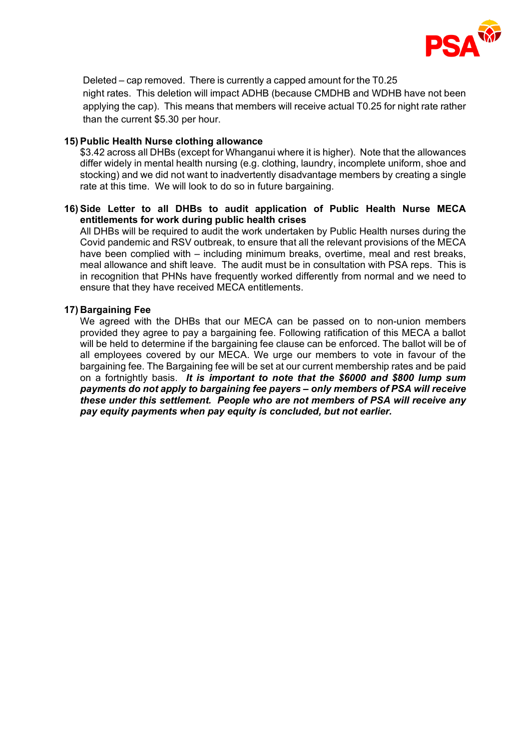

Deleted – cap removed. There is currently a capped amount for the T0.25 night rates. This deletion will impact ADHB (because CMDHB and WDHB have not been applying the cap). This means that members will receive actual T0.25 for night rate rather than the current \$5.30 per hour.

# **15) Public Health Nurse clothing allowance**

\$3.42 across all DHBs (except for Whanganui where it is higher). Note that the allowances differ widely in mental health nursing (e.g. clothing, laundry, incomplete uniform, shoe and stocking) and we did not want to inadvertently disadvantage members by creating a single rate at this time. We will look to do so in future bargaining.

# **16) Side Letter to all DHBs to audit application of Public Health Nurse MECA entitlements for work during public health crises**

All DHBs will be required to audit the work undertaken by Public Health nurses during the Covid pandemic and RSV outbreak, to ensure that all the relevant provisions of the MECA have been complied with – including minimum breaks, overtime, meal and rest breaks, meal allowance and shift leave. The audit must be in consultation with PSA reps. This is in recognition that PHNs have frequently worked differently from normal and we need to ensure that they have received MECA entitlements.

# **17) Bargaining Fee**

We agreed with the DHBs that our MECA can be passed on to non-union members provided they agree to pay a bargaining fee. Following ratification of this MECA a ballot will be held to determine if the bargaining fee clause can be enforced. The ballot will be of all employees covered by our MECA. We urge our members to vote in favour of the bargaining fee. The Bargaining fee will be set at our current membership rates and be paid on a fortnightly basis. *It is important to note that the \$6000 and \$800 lump sum payments do not apply to bargaining fee payers – only members of PSA will receive these under this settlement. People who are not members of PSA will receive any pay equity payments when pay equity is concluded, but not earlier.*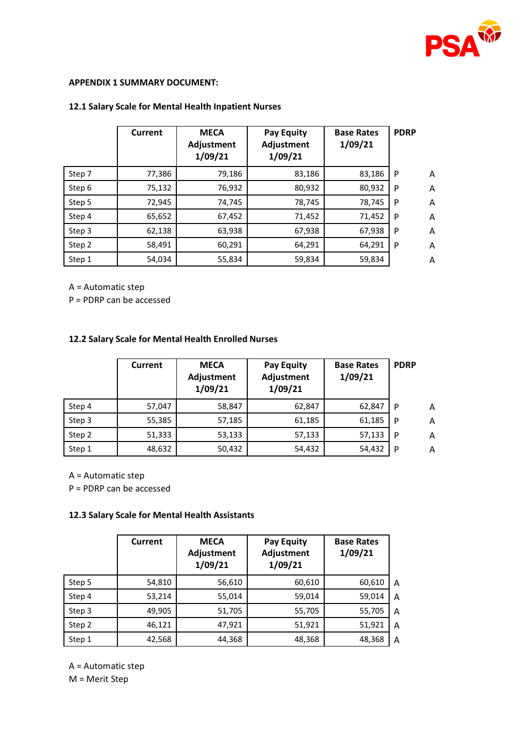

### **APPENDIX 1 SUMMARY DOCUMENT:**

### **12.1 Salary Scale for Mental Health Inpatient Nurses**

|        | <b>Current</b> | <b>MECA</b><br>Adjustment<br>1/09/21 | <b>Pay Equity</b><br>Adjustment<br>1/09/21 | <b>Base Rates</b><br>1/09/21 | <b>PDRP</b> |   |
|--------|----------------|--------------------------------------|--------------------------------------------|------------------------------|-------------|---|
| Step 7 | 77,386         | 79,186                               | 83,186                                     | 83,186                       | P           | A |
| Step 6 | 75,132         | 76,932                               | 80,932                                     | 80,932                       | P           | A |
| Step 5 | 72,945         | 74,745                               | 78,745                                     | 78,745                       | P           | A |
| Step 4 | 65,652         | 67,452                               | 71,452                                     | 71,452                       | P           | A |
| Step 3 | 62,138         | 63,938                               | 67,938                                     | 67,938                       | P           | A |
| Step 2 | 58,491         | 60,291                               | 64,291                                     | 64,291                       | P           | A |
| Step 1 | 54,034         | 55,834                               | 59,834                                     | 59,834                       |             | A |

A = Automatic step

P = PDRP can be accessed

# **12.2 Salary Scale for Mental Health Enrolled Nurses**

|        | Current | <b>MECA</b><br>Adjustment<br>1/09/21 | <b>Pay Equity</b><br>Adjustment<br>1/09/21 | <b>Base Rates</b><br>1/09/21 | <b>PDRP</b> |   |
|--------|---------|--------------------------------------|--------------------------------------------|------------------------------|-------------|---|
| Step 4 | 57,047  | 58,847                               | 62,847                                     | 62,847                       | P           | A |
| Step 3 | 55,385  | 57,185                               | 61,185                                     | 61,185                       | P           | A |
| Step 2 | 51,333  | 53,133                               | 57,133                                     | 57,133                       | P           | A |
| Step 1 | 48,632  | 50,432                               | 54,432                                     | 54,432                       | P           | Α |

A = Automatic step

P = PDRP can be accessed

#### **12.3 Salary Scale for Mental Health Assistants**

|        | <b>Current</b> | <b>MECA</b><br>Adjustment<br>1/09/21 | <b>Pay Equity</b><br>Adjustment<br>1/09/21 | <b>Base Rates</b><br>1/09/21 |   |
|--------|----------------|--------------------------------------|--------------------------------------------|------------------------------|---|
| Step 5 | 54,810         | 56,610                               | 60,610                                     | 60,610                       | Α |
| Step 4 | 53,214         | 55,014                               | 59,014                                     | 59,014                       | A |
| Step 3 | 49,905         | 51,705                               | 55,705                                     | 55,705                       | A |
| Step 2 | 46,121         | 47,921                               | 51,921                                     | 51,921                       | A |
| Step 1 | 42,568         | 44,368                               | 48,368                                     | 48,368                       | A |

A = Automatic step M = Merit Step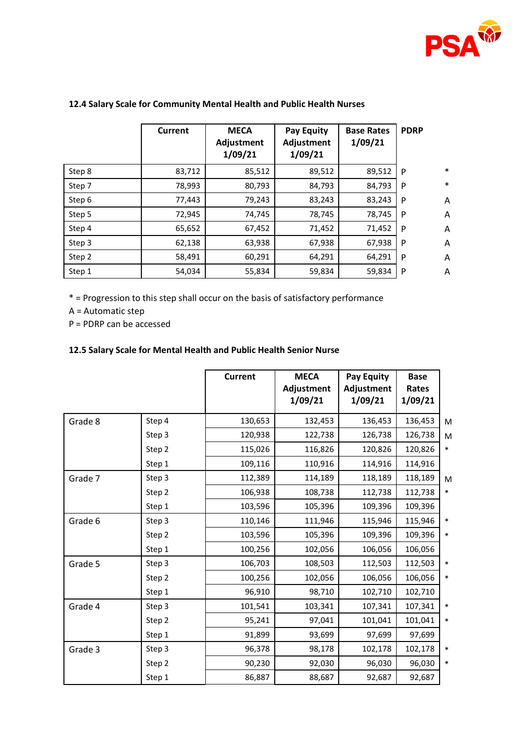

|        | Current | <b>MECA</b><br>Adjustment<br>1/09/21 | <b>Pay Equity</b><br>Adjustment<br>1/09/21 | <b>Base Rates</b><br>1/09/21 | <b>PDRP</b> |        |
|--------|---------|--------------------------------------|--------------------------------------------|------------------------------|-------------|--------|
| Step 8 | 83,712  | 85,512                               | 89,512                                     | 89,512                       | P           | $\ast$ |
| Step 7 | 78,993  | 80,793                               | 84,793                                     | 84,793                       | P           | $\ast$ |
| Step 6 | 77,443  | 79,243                               | 83,243                                     | 83,243                       | P           | Α      |
| Step 5 | 72,945  | 74,745                               | 78,745                                     | 78,745                       | P           | A      |
| Step 4 | 65,652  | 67,452                               | 71,452                                     | 71,452                       | P           | A      |
| Step 3 | 62,138  | 63,938                               | 67,938                                     | 67,938                       | P           | A      |
| Step 2 | 58,491  | 60,291                               | 64,291                                     | 64,291                       | P           | Α      |
| Step 1 | 54,034  | 55,834                               | 59,834                                     | 59,834                       | P           | A      |

# **12.4 Salary Scale for Community Mental Health and Public Health Nurses**

\* = Progression to this step shall occur on the basis of satisfactory performance

A = Automatic step

P = PDRP can be accessed

# **12.5 Salary Scale for Mental Health and Public Health Senior Nurse**

|         |        | <b>Current</b> | <b>MECA</b><br>Adjustment<br>1/09/21 | <b>Pay Equity</b><br>Adjustment<br>1/09/21 | <b>Base</b><br>Rates<br>1/09/21 |        |
|---------|--------|----------------|--------------------------------------|--------------------------------------------|---------------------------------|--------|
| Grade 8 | Step 4 | 130,653        | 132,453                              | 136,453                                    | 136,453                         | M      |
|         | Step 3 | 120,938        | 122,738                              | 126,738                                    | 126,738                         | M      |
|         | Step 2 | 115,026        | 116,826                              | 120,826                                    | 120,826                         | $\ast$ |
|         | Step 1 | 109,116        | 110,916                              | 114,916                                    | 114,916                         |        |
| Grade 7 | Step 3 | 112,389        | 114,189                              | 118,189                                    | 118,189                         | M      |
|         | Step 2 | 106,938        | 108,738                              | 112,738                                    | 112,738                         | $\ast$ |
|         | Step 1 | 103,596        | 105,396                              | 109,396                                    | 109,396                         |        |
| Grade 6 | Step 3 | 110,146        | 111,946                              | 115,946                                    | 115,946                         | $\ast$ |
|         | Step 2 | 103,596        | 105,396                              | 109,396                                    | 109,396                         | $\ast$ |
|         | Step 1 | 100,256        | 102,056                              | 106,056                                    | 106,056                         |        |
| Grade 5 | Step 3 | 106,703        | 108,503                              | 112,503                                    | 112,503                         | $\ast$ |
|         | Step 2 | 100,256        | 102,056                              | 106,056                                    | 106,056                         | $\ast$ |
|         | Step 1 | 96,910         | 98,710                               | 102,710                                    | 102,710                         |        |
| Grade 4 | Step 3 | 101,541        | 103,341                              | 107,341                                    | 107,341                         | $\ast$ |
|         | Step 2 | 95,241         | 97,041                               | 101,041                                    | 101,041                         | $\ast$ |
|         | Step 1 | 91,899         | 93,699                               | 97,699                                     | 97,699                          |        |
| Grade 3 | Step 3 | 96,378         | 98,178                               | 102,178                                    | 102,178                         | $\ast$ |
|         | Step 2 | 90,230         | 92,030                               | 96,030                                     | 96,030                          | $\ast$ |
|         | Step 1 | 86,887         | 88,687                               | 92,687                                     | 92,687                          |        |